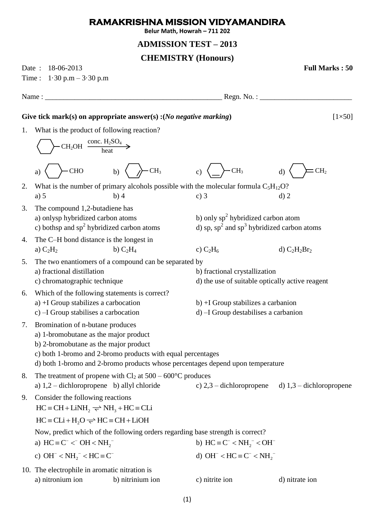## **RAMAKRISHNA MISSION VIDYAMANDIRA**

**Belur Math, Howrah – 711 202**

## **ADMISSION TEST – 2013**

## **CHEMISTRY (Honours)**

Date : 18-06-2013 **Full Marks : 50**

Time :  $1.30 \text{ p.m} - 3.30 \text{ p.m}$ 

Name :  $\Box$  Regn. No. :  $\Box$ 

Give tick mark(s) on appropriate answer(s):(*No negative marking*) [1×50]

1. What is the product of following reaction?

a)  $\left\langle \right\rangle$  CHO b)  $\left\langle \right\rangle$  CH<sub>3</sub> c)  $\left\langle \right\rangle$  CH<sub>3</sub> d) 2. What is the number of primary alcohols possible with the molecular formula  $C_5H_{12}O$ ? a) 5 b) 4 c) 3 d) 2 3. The compound 1,2-butadiene has a) onlysp hybridized carbon atoms b) only  $sp^2$  hybridized carbon atom c) bothsp and sp<sup>2</sup> hybridized carbon atoms d) sp,  $sp^2$ and sp<sup>3</sup> hybridized carbon atoms 4. The C–H bond distance is the longest in a)  $C_2H_2$  b)  $C_2H_4$  c)  $C_2H_6$  d)  $C_2H_2Br_2$ 5. The two enantiomers of a compound can be separated by a) fractional distillation b) fractional crystallization c) chromatographic technique d) the use of suitable optically active reagent 6. Which of the following statements is correct? a)  $+I$  Group stabilizes a carbocation b)  $+I$  Group stabilizes a carbanion c) –I Group stabilises a carbocation d) –I Group destabilises a carbanion 7. Bromination of n-butane produces a) 1-bromobutane as the major product b) 2-bromobutane as the major product c) both 1-bromo and 2-bromo products with equal percentages d) both 1-bromo and 2-bromo products whose percentages depend upon temperature 8. The treatment of propene with  $Cl_2$  at  $500 - 600^{\circ}C$  produces a) 1,2 – dichloropropene b) allyl chloride c) 2,3 – dichloropropene d) 1,3 – dichloropropene 9. Consider the following reactions  $HC = CH + LiNH<sub>2</sub> \implies NH<sub>3</sub> + HC = CLi$ <br> $HC = CLi + H<sub>2</sub>O \implies HC = CH + LiOH$ Now, predict which of the following orders regarding base strength is correct? a)  $HC = C^- < OH < NH_2^$ b)  $HC = C^{-} < NH_2^{-} < OH^{-}$ c)  $OH^- < NH_2^- < HC \equiv C^$ d) OH<sup>-</sup> < HC  $\equiv$  C<sup>-</sup> < NH<sub>2</sub><sup>-</sup> 10. The electrophile in aromatic nitration is a) nitronium ion b) nitrinium ion c) nitrite ion d) nitrate ion  $CH<sub>2</sub>OH \frac{1}{1}$  heat conc.  $H_2SO_4$ CHO b)  $\langle \rangle$  CH<sub>3</sub> c)  $\langle \rangle$  CH<sub>3</sub> d)  $\langle \rangle$  ECH<sub>2</sub>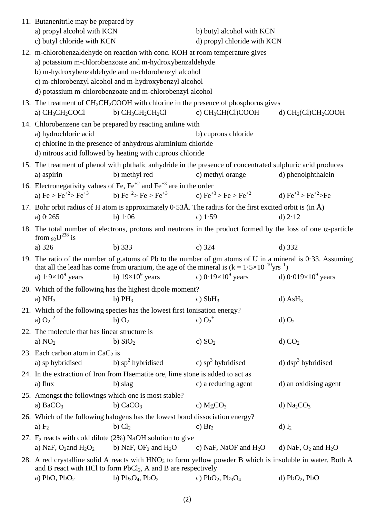| 11. Butanenitrile may be prepared by                                                                                                                                             |                                                                                                                                                                                                                                 |                             |                                    |  |  |  |
|----------------------------------------------------------------------------------------------------------------------------------------------------------------------------------|---------------------------------------------------------------------------------------------------------------------------------------------------------------------------------------------------------------------------------|-----------------------------|------------------------------------|--|--|--|
| a) propyl alcohol with KCN                                                                                                                                                       |                                                                                                                                                                                                                                 | b) butyl alcohol with KCN   |                                    |  |  |  |
| c) butyl chloride with KCN                                                                                                                                                       |                                                                                                                                                                                                                                 | d) propyl chloride with KCN |                                    |  |  |  |
|                                                                                                                                                                                  | 12. m-chlorobenzaldehyde on reaction with conc. KOH at room temperature gives                                                                                                                                                   |                             |                                    |  |  |  |
| a) potassium m-chlorobenzoate and m-hydroxybenzaldehyde                                                                                                                          |                                                                                                                                                                                                                                 |                             |                                    |  |  |  |
| b) m-hydroxybenzaldehyde and m-chlorobenzyl alcohol                                                                                                                              |                                                                                                                                                                                                                                 |                             |                                    |  |  |  |
| c) m-chlorobenzyl alcohol and m-hydroxybenzyl alcohol                                                                                                                            |                                                                                                                                                                                                                                 |                             |                                    |  |  |  |
| d) potassium m-chlorobenzoate and m-chlorobenzyl alcohol                                                                                                                         |                                                                                                                                                                                                                                 |                             |                                    |  |  |  |
| a) $CH3CH2COCl$                                                                                                                                                                  | 13. The treatment of $CH_3CH_2COOH$ with chlorine in the presence of phosphorus gives<br>b) $CH_3CH_2CH_2Cl$                                                                                                                    | c) $CH_3CH(Cl)COOH$         | d) $CH2(Cl)CH2COOH$                |  |  |  |
|                                                                                                                                                                                  | 14. Chlorobenzene can be prepared by reacting aniline with                                                                                                                                                                      |                             |                                    |  |  |  |
| a) hydrochloric acid<br>b) cuprous chloride                                                                                                                                      |                                                                                                                                                                                                                                 |                             |                                    |  |  |  |
| c) chlorine in the presence of anhydrous aluminium chloride                                                                                                                      |                                                                                                                                                                                                                                 |                             |                                    |  |  |  |
| d) nitrous acid followed by heating with cuprous chloride                                                                                                                        |                                                                                                                                                                                                                                 |                             |                                    |  |  |  |
| 15. The treatment of phenol with phthalic anhydride in the presence of concentrated sulphuric acid produces                                                                      |                                                                                                                                                                                                                                 |                             |                                    |  |  |  |
| a) aspirin                                                                                                                                                                       | b) methyl red                                                                                                                                                                                                                   | c) methyl orange            | d) phenolphthalein                 |  |  |  |
|                                                                                                                                                                                  | 16. Electronegativity values of Fe, $Fe+2$ and $Fe+3$ are in the order                                                                                                                                                          |                             |                                    |  |  |  |
|                                                                                                                                                                                  | a) Fe > Fe <sup>+2</sup> > Fe <sup>+3</sup> b) Fe <sup>+2</sup> > Fe > Fe <sup>+3</sup> c) Fe <sup>+3</sup> > Fe > Fe <sup>+2</sup> d) Fe <sup>+3</sup> > Fe <sup>+2</sup> > Fe                                                 |                             |                                    |  |  |  |
|                                                                                                                                                                                  | 17. Bohr orbit radius of H atom is approximately $0.53\text{\AA}$ . The radius for the first excited orbit is (in $\text{\AA}$ )                                                                                                |                             |                                    |  |  |  |
| a) $0.265$                                                                                                                                                                       | b) $1.06$                                                                                                                                                                                                                       | c) $1.59$                   | d) $2.12$                          |  |  |  |
| 18. The total number of electrons, protons and neutrons in the product formed by the loss of one $\alpha$ -particle<br>from $92^{\frac{1}{38}}$ is                               |                                                                                                                                                                                                                                 |                             |                                    |  |  |  |
| a) 326                                                                                                                                                                           | b) $333$                                                                                                                                                                                                                        | $c)$ 324                    | $d)$ 332                           |  |  |  |
|                                                                                                                                                                                  | 19. The ratio of the number of g.atoms of Pb to the number of gm atoms of U in a mineral is $0.33$ . Assuming<br>that all the lead has come from uranium, the age of the mineral is $(k = 1.5 \times 10^{-10} \text{yrs}^{-1})$ |                             |                                    |  |  |  |
| a) $1.9\times10^9$ years                                                                                                                                                         | b) $19\times10^9$ years c) $0.19\times10^9$ years                                                                                                                                                                               |                             | d) $0.019\times10^9$ years         |  |  |  |
|                                                                                                                                                                                  | 20. Which of the following has the highest dipole moment?                                                                                                                                                                       |                             |                                    |  |  |  |
| a) $NH3$                                                                                                                                                                         | b) $PH_3$                                                                                                                                                                                                                       | c) $SbH_3$                  | $d)$ AsH <sub>3</sub>              |  |  |  |
| 21. Which of the following species has the lowest first Ionisation energy?                                                                                                       |                                                                                                                                                                                                                                 |                             |                                    |  |  |  |
| a) $O_2^{-2}$                                                                                                                                                                    | b) $O2$                                                                                                                                                                                                                         | c) $O_2^+$                  | d) $O_2^-$                         |  |  |  |
| 22. The molecule that has linear structure is                                                                                                                                    |                                                                                                                                                                                                                                 |                             |                                    |  |  |  |
| a) $NO2$                                                                                                                                                                         | b) $SiO2$                                                                                                                                                                                                                       | c) $SO2$                    | d) CO <sub>2</sub>                 |  |  |  |
| 23. Each carbon atom in $CaC2$ is                                                                                                                                                |                                                                                                                                                                                                                                 |                             |                                    |  |  |  |
| a) sp hybridised                                                                                                                                                                 | b) $sp^2$ hybridised                                                                                                                                                                                                            | c) $sp^3$ hybridised        | d) $\text{dsp}^3$ hybridised       |  |  |  |
|                                                                                                                                                                                  | 24. In the extraction of Iron from Haematite ore, lime stone is added to act as                                                                                                                                                 |                             |                                    |  |  |  |
| a) flux                                                                                                                                                                          | b) slag                                                                                                                                                                                                                         | c) a reducing agent         | d) an oxidising agent              |  |  |  |
| 25. Amongst the followings which one is most stable?                                                                                                                             |                                                                                                                                                                                                                                 |                             |                                    |  |  |  |
| a) $BaCO3$                                                                                                                                                                       | b) $CaCO3$                                                                                                                                                                                                                      | c) $MgCO3$                  | d) $Na2CO3$                        |  |  |  |
|                                                                                                                                                                                  | 26. Which of the following halogens has the lowest bond dissociation energy?                                                                                                                                                    |                             |                                    |  |  |  |
| a) $F2$                                                                                                                                                                          | $b)$ $Cl2$                                                                                                                                                                                                                      | c) $Br2$                    | $d) I_2$                           |  |  |  |
|                                                                                                                                                                                  | 27. $F_2$ reacts with cold dilute (2%) NaOH solution to give                                                                                                                                                                    |                             |                                    |  |  |  |
| a) NaF, $O_2$ and $H_2O_2$                                                                                                                                                       | b) NaF, $OF2$ and $H2O$                                                                                                                                                                                                         | c) NaF, NaOF and $H_2O$     | d) NaF, $O_2$ and H <sub>2</sub> O |  |  |  |
| 28. A red crystalline solid A reacts with $HNO3$ to form yellow powder B which is insoluble in water. Both A<br>and B react with HCl to form $PbCl_2$ , A and B are respectively |                                                                                                                                                                                                                                 |                             |                                    |  |  |  |
| a) PbO, $PbO2$                                                                                                                                                                   | b) $Pb_3O_4$ , $PbO_2$                                                                                                                                                                                                          | c) $PbO_2$ , $Pb_3O_4$      | d) $PbO2$ , $PbO$                  |  |  |  |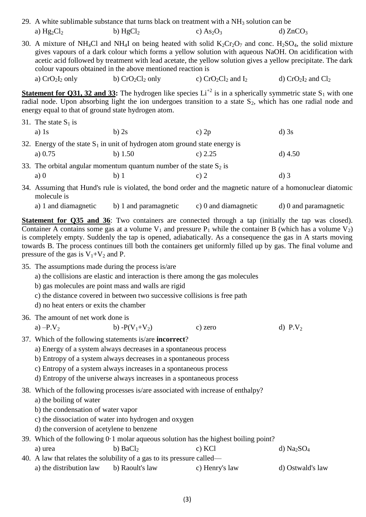| 29. A white sublimable substance that turns black on treatment with a $NH3$ solution can be |            |            |            |  |
|---------------------------------------------------------------------------------------------|------------|------------|------------|--|
| a) $Hg_2Cl_2$                                                                               | b) $HgCl2$ | c) $As2O3$ | d) $ZnCO3$ |  |

30. A mixture of NH<sub>4</sub>Cl and NH<sub>4</sub>I on being heated with solid K<sub>2</sub>Cr<sub>2</sub>O<sub>7</sub> and conc. H<sub>2</sub>SO<sub>4</sub>, the solid mixture gives vapours of a dark colour which forms a yellow solution with aqueous NaOH. On acidification with acetic acid followed by treatment with lead acetate, the yellow solution gives a yellow precipitate. The dark colour vapours obtained in the above mentioned reaction is

a)  $CrO<sub>2</sub>I<sub>2</sub>$  only b)  $CrO<sub>2</sub>Cl<sub>2</sub>$  only c)  $CrO<sub>2</sub>Cl<sub>2</sub>$  and  $I<sub>2</sub>$  d)  $CrO<sub>2</sub>I<sub>2</sub>$  and  $Cl<sub>2</sub>$ 

**Statement for Q31, 32 and 33:** The hydrogen like species  $Li^{+2}$  is in a spherically symmetric state  $S_1$  with one radial node. Upon absorbing light the ion undergoes transition to a state  $S_2$ , which has one radial node and energy equal to that of ground state hydrogen atom.

- 31. The state  $S_1$  is a) 1s b) 2s c)  $2p$  d) 3s 32. Energy of the state  $S_1$  in unit of hydrogen atom ground state energy is a) 0.75 b) 1.50 c) 2.25 d) 4.50
- 33. The orbital angular momentum quantum number of the state  $S_2$  is a) 0 b) 1 c) 2 d) 3
- 34. Assuming that Hund's rule is violated, the bond order and the magnetic nature of a homonuclear diatomic molecule is
	- a) 1 and diamagnetic b) 1 and paramagnetic c) 0 and diamagnetic d) 0 and paramagnetic

**Statement for Q35 and 36**: Two containers are connected through a tap (initially the tap was closed). Container A contains some gas at a volume  $V_1$  and pressure  $P_1$  while the container B (which has a volume  $V_2$ ) is completely empty. Suddenly the tap is opened, adiabatically. As a consequence the gas in A starts moving towards B. The process continues till both the containers get uniformly filled up by gas. The final volume and pressure of the gas is  $V_1+V_2$  and P.

35. The assumptions made during the process is/are

a) the collisions are elastic and interaction is there among the gas molecules

- b) gas molecules are point mass and walls are rigid
- c) the distance covered in between two successive collisions is free path

d) no heat enters or exits the chamber

36. The amount of net work done is

```
a) -P.V_2 b) -P(V_1+V_2) c) zero d) P.V_2
```
37. Which of the following statements is/are **incorrect**?

a) Energy of a system always decreases in a spontaneous process

b) Entropy of a system always decreases in a spontaneous process

c) Entropy of a system always increases in a spontaneous process

d) Entropy of the universe always increases in a spontaneous process

38. Which of the following processes is/are associated with increase of enthalpy?

a) the boiling of water

b) the condensation of water vapor

- c) the dissociation of water into hydrogen and oxygen
- d) the conversion of acetylene to benzene

## 39. Which of the following 0·1 molar aqueous solution has the highest boiling point?

a) urea b) BaCl<sub>2</sub> c) KCl d) Na<sub>2</sub>SO<sub>4</sub> 40. A law that relates the solubility of a gas to its pressure called—

a) the distribution law b) Raoult's law c) Henry's law d) Ostwald's law